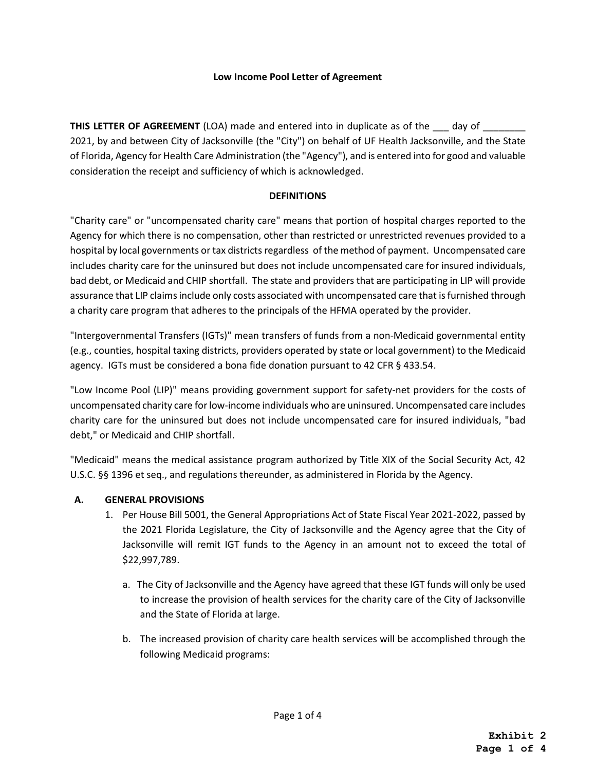## **Low Income Pool Letter of Agreement**

**THIS LETTER OF AGREEMENT** (LOA) made and entered into in duplicate as of the \_\_\_ day of \_\_\_\_\_\_ 2021, by and between City of Jacksonville (the "City") on behalf of UF Health Jacksonville, and the State of Florida, Agency for Health Care Administration (the "Agency"), and is entered into for good and valuable consideration the receipt and sufficiency of which is acknowledged.

## **DEFINITIONS**

"Charity care" or "uncompensated charity care" means that portion of hospital charges reported to the Agency for which there is no compensation, other than restricted or unrestricted revenues provided to a hospital by local governments or tax districts regardless of the method of payment. Uncompensated care includes charity care for the uninsured but does not include uncompensated care for insured individuals, bad debt, or Medicaid and CHIP shortfall. The state and providers that are participating in LIP will provide assurance that LIP claims include only costs associated with uncompensated care that is furnished through a charity care program that adheres to the principals of the HFMA operated by the provider.

"Intergovernmental Transfers (IGTs)" mean transfers of funds from a non-Medicaid governmental entity (e.g., counties, hospital taxing districts, providers operated by state or local government) to the Medicaid agency. IGTs must be considered a bona fide donation pursuant to 42 CFR § 433.54.

"Low Income Pool (LIP)" means providing government support for safety-net providers for the costs of uncompensated charity care for low-income individuals who are uninsured. Uncompensated care includes charity care for the uninsured but does not include uncompensated care for insured individuals, "bad debt," or Medicaid and CHIP shortfall.

"Medicaid" means the medical assistance program authorized by Title XIX of the Social Security Act, 42 U.S.C. §§ 1396 et seq., and regulations thereunder, as administered in Florida by the Agency.

## **A. GENERAL PROVISIONS**

- 1. Per House Bill 5001, the General Appropriations Act of State Fiscal Year 2021-2022, passed by the 2021 Florida Legislature, the City of Jacksonville and the Agency agree that the City of Jacksonville will remit IGT funds to the Agency in an amount not to exceed the total of \$22,997,789.
	- a. The City of Jacksonville and the Agency have agreed that these IGT funds will only be used to increase the provision of health services for the charity care of the City of Jacksonville and the State of Florida at large.
	- b. The increased provision of charity care health services will be accomplished through the following Medicaid programs: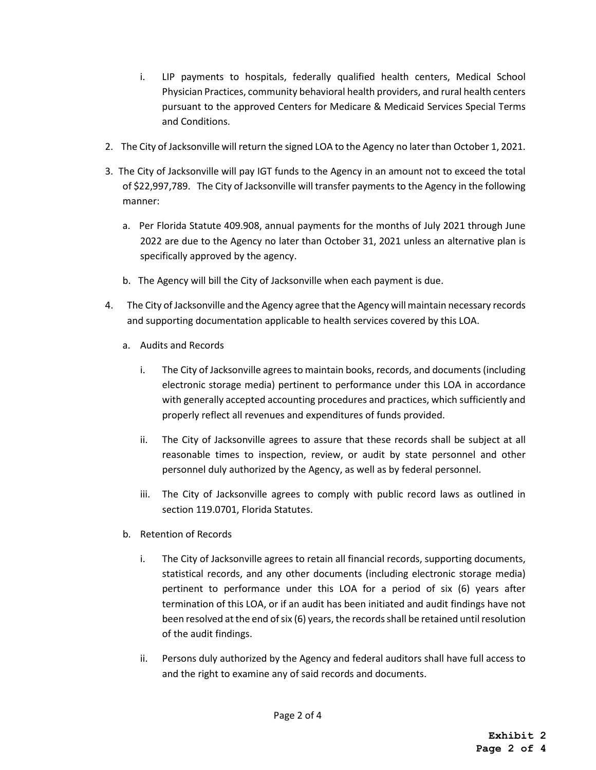- i. LIP payments to hospitals, federally qualified health centers, Medical School Physician Practices, community behavioral health providers, and rural health centers pursuant to the approved Centers for Medicare & Medicaid Services Special Terms and Conditions.
- 2. The City of Jacksonville will return the signed LOA to the Agency no later than October 1, 2021.
- 3. The City of Jacksonville will pay IGT funds to the Agency in an amount not to exceed the total of \$22,997,789. The City of Jacksonville will transfer payments to the Agency in the following manner:
	- a. Per Florida Statute 409.908, annual payments for the months of July 2021 through June 2022 are due to the Agency no later than October 31, 2021 unless an alternative plan is specifically approved by the agency.
	- b. The Agency will bill the City of Jacksonville when each payment is due.
- 4. The City of Jacksonville and the Agency agree that the Agency will maintain necessary records and supporting documentation applicable to health services covered by this LOA.
	- a. Audits and Records
		- i. The City of Jacksonville agrees to maintain books, records, and documents (including electronic storage media) pertinent to performance under this LOA in accordance with generally accepted accounting procedures and practices, which sufficiently and properly reflect all revenues and expenditures of funds provided.
		- ii. The City of Jacksonville agrees to assure that these records shall be subject at all reasonable times to inspection, review, or audit by state personnel and other personnel duly authorized by the Agency, as well as by federal personnel.
		- iii. The City of Jacksonville agrees to comply with public record laws as outlined in section 119.0701, Florida Statutes.
	- b. Retention of Records
		- i. The City of Jacksonville agrees to retain all financial records, supporting documents, statistical records, and any other documents (including electronic storage media) pertinent to performance under this LOA for a period of six (6) years after termination of this LOA, or if an audit has been initiated and audit findings have not been resolved at the end of six (6) years, the records shall be retained until resolution of the audit findings.
		- ii. Persons duly authorized by the Agency and federal auditors shall have full access to and the right to examine any of said records and documents.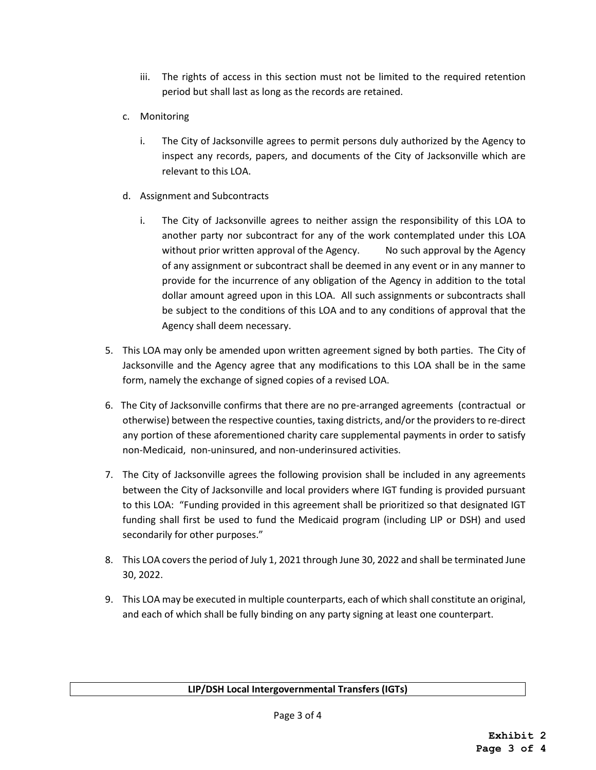- iii. The rights of access in this section must not be limited to the required retention period but shall last as long as the records are retained.
- c. Monitoring
	- i. The City of Jacksonville agrees to permit persons duly authorized by the Agency to inspect any records, papers, and documents of the City of Jacksonville which are relevant to this LOA.
- d. Assignment and Subcontracts
	- i. The City of Jacksonville agrees to neither assign the responsibility of this LOA to another party nor subcontract for any of the work contemplated under this LOA without prior written approval of the Agency. No such approval by the Agency of any assignment or subcontract shall be deemed in any event or in any manner to provide for the incurrence of any obligation of the Agency in addition to the total dollar amount agreed upon in this LOA. All such assignments or subcontracts shall be subject to the conditions of this LOA and to any conditions of approval that the Agency shall deem necessary.
- 5. This LOA may only be amended upon written agreement signed by both parties. The City of Jacksonville and the Agency agree that any modifications to this LOA shall be in the same form, namely the exchange of signed copies of a revised LOA.
- 6. The City of Jacksonville confirms that there are no pre-arranged agreements (contractual or otherwise) between the respective counties, taxing districts, and/or the providers to re-direct any portion of these aforementioned charity care supplemental payments in order to satisfy non-Medicaid, non-uninsured, and non-underinsured activities.
- 7. The City of Jacksonville agrees the following provision shall be included in any agreements between the City of Jacksonville and local providers where IGT funding is provided pursuant to this LOA: "Funding provided in this agreement shall be prioritized so that designated IGT funding shall first be used to fund the Medicaid program (including LIP or DSH) and used secondarily for other purposes."
- 8. This LOA covers the period of July 1, 2021 through June 30, 2022 and shall be terminated June 30, 2022.
- 9. This LOA may be executed in multiple counterparts, each of which shall constitute an original, and each of which shall be fully binding on any party signing at least one counterpart.